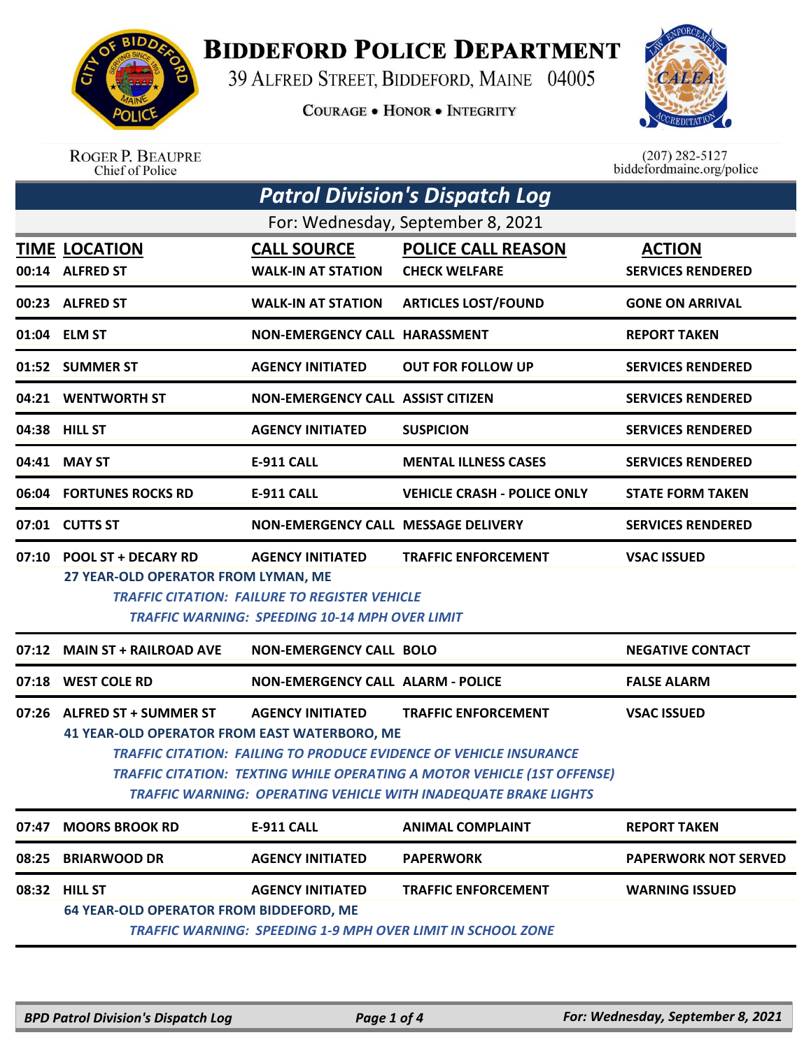

**BIDDEFORD POLICE DEPARTMENT** 

39 ALFRED STREET, BIDDEFORD, MAINE 04005

**COURAGE . HONOR . INTEGRITY** 



ROGER P. BEAUPRE<br>Chief of Police

 $(207)$  282-5127 biddefordmaine.org/police

| <b>Patrol Division's Dispatch Log</b> |                                                                                                                                                                                                                                                                                |                                                                                 |                                    |                             |  |  |
|---------------------------------------|--------------------------------------------------------------------------------------------------------------------------------------------------------------------------------------------------------------------------------------------------------------------------------|---------------------------------------------------------------------------------|------------------------------------|-----------------------------|--|--|
| For: Wednesday, September 8, 2021     |                                                                                                                                                                                                                                                                                |                                                                                 |                                    |                             |  |  |
|                                       | <b>TIME LOCATION</b>                                                                                                                                                                                                                                                           | <b>CALL SOURCE</b>                                                              | <b>POLICE CALL REASON</b>          | <b>ACTION</b>               |  |  |
|                                       | 00:14 ALFRED ST                                                                                                                                                                                                                                                                | <b>WALK-IN AT STATION</b>                                                       | <b>CHECK WELFARE</b>               | <b>SERVICES RENDERED</b>    |  |  |
|                                       | 00:23 ALFRED ST                                                                                                                                                                                                                                                                | <b>WALK-IN AT STATION</b>                                                       | <b>ARTICLES LOST/FOUND</b>         | <b>GONE ON ARRIVAL</b>      |  |  |
|                                       | 01:04 ELM ST                                                                                                                                                                                                                                                                   | <b>NON-EMERGENCY CALL HARASSMENT</b>                                            |                                    | <b>REPORT TAKEN</b>         |  |  |
|                                       | 01:52 SUMMER ST                                                                                                                                                                                                                                                                | <b>AGENCY INITIATED</b>                                                         | <b>OUT FOR FOLLOW UP</b>           | <b>SERVICES RENDERED</b>    |  |  |
|                                       | 04:21 WENTWORTH ST                                                                                                                                                                                                                                                             | <b>NON-EMERGENCY CALL ASSIST CITIZEN</b>                                        |                                    | <b>SERVICES RENDERED</b>    |  |  |
|                                       | 04:38 HILL ST                                                                                                                                                                                                                                                                  | <b>AGENCY INITIATED</b>                                                         | <b>SUSPICION</b>                   | <b>SERVICES RENDERED</b>    |  |  |
| 04:41                                 | <b>MAY ST</b>                                                                                                                                                                                                                                                                  | <b>E-911 CALL</b>                                                               | <b>MENTAL ILLNESS CASES</b>        | <b>SERVICES RENDERED</b>    |  |  |
| 06:04                                 | <b>FORTUNES ROCKS RD</b>                                                                                                                                                                                                                                                       | <b>E-911 CALL</b>                                                               | <b>VEHICLE CRASH - POLICE ONLY</b> | <b>STATE FORM TAKEN</b>     |  |  |
|                                       | 07:01 CUTTS ST                                                                                                                                                                                                                                                                 | NON-EMERGENCY CALL MESSAGE DELIVERY                                             |                                    | <b>SERVICES RENDERED</b>    |  |  |
| 07:10                                 | <b>POOL ST + DECARY RD</b><br>27 YEAR-OLD OPERATOR FROM LYMAN, ME                                                                                                                                                                                                              | <b>AGENCY INITIATED</b><br><b>TRAFFIC CITATION: FAILURE TO REGISTER VEHICLE</b> | <b>TRAFFIC ENFORCEMENT</b>         | <b>VSAC ISSUED</b>          |  |  |
|                                       |                                                                                                                                                                                                                                                                                | <b>TRAFFIC WARNING: SPEEDING 10-14 MPH OVER LIMIT</b>                           |                                    |                             |  |  |
| 07:12                                 | <b>MAIN ST + RAILROAD AVE</b>                                                                                                                                                                                                                                                  | <b>NON-EMERGENCY CALL BOLO</b>                                                  |                                    | <b>NEGATIVE CONTACT</b>     |  |  |
|                                       | 07:18 WEST COLE RD                                                                                                                                                                                                                                                             | <b>NON-EMERGENCY CALL ALARM - POLICE</b>                                        |                                    | <b>FALSE ALARM</b>          |  |  |
| 07:26                                 | <b>ALFRED ST + SUMMER ST</b>                                                                                                                                                                                                                                                   | <b>AGENCY INITIATED</b>                                                         | <b>TRAFFIC ENFORCEMENT</b>         | <b>VSAC ISSUED</b>          |  |  |
|                                       | 41 YEAR-OLD OPERATOR FROM EAST WATERBORO, ME<br><b>TRAFFIC CITATION: FAILING TO PRODUCE EVIDENCE OF VEHICLE INSURANCE</b><br><b>TRAFFIC CITATION: TEXTING WHILE OPERATING A MOTOR VEHICLE (1ST OFFENSE)</b><br>TRAFFIC WARNING: OPERATING VEHICLE WITH INADEQUATE BRAKE LIGHTS |                                                                                 |                                    |                             |  |  |
| 07:47                                 | <b>MOORS BROOK RD</b>                                                                                                                                                                                                                                                          | <b>E-911 CALL</b>                                                               | <b>ANIMAL COMPLAINT</b>            | <b>REPORT TAKEN</b>         |  |  |
| 08:25                                 | <b>BRIARWOOD DR</b>                                                                                                                                                                                                                                                            | <b>AGENCY INITIATED</b>                                                         | <b>PAPERWORK</b>                   | <b>PAPERWORK NOT SERVED</b> |  |  |
|                                       | 08:32 HILL ST                                                                                                                                                                                                                                                                  | <b>AGENCY INITIATED</b>                                                         | <b>TRAFFIC ENFORCEMENT</b>         | <b>WARNING ISSUED</b>       |  |  |
|                                       | <b>64 YEAR-OLD OPERATOR FROM BIDDEFORD, ME</b><br><b>TRAFFIC WARNING: SPEEDING 1-9 MPH OVER LIMIT IN SCHOOL ZONE</b>                                                                                                                                                           |                                                                                 |                                    |                             |  |  |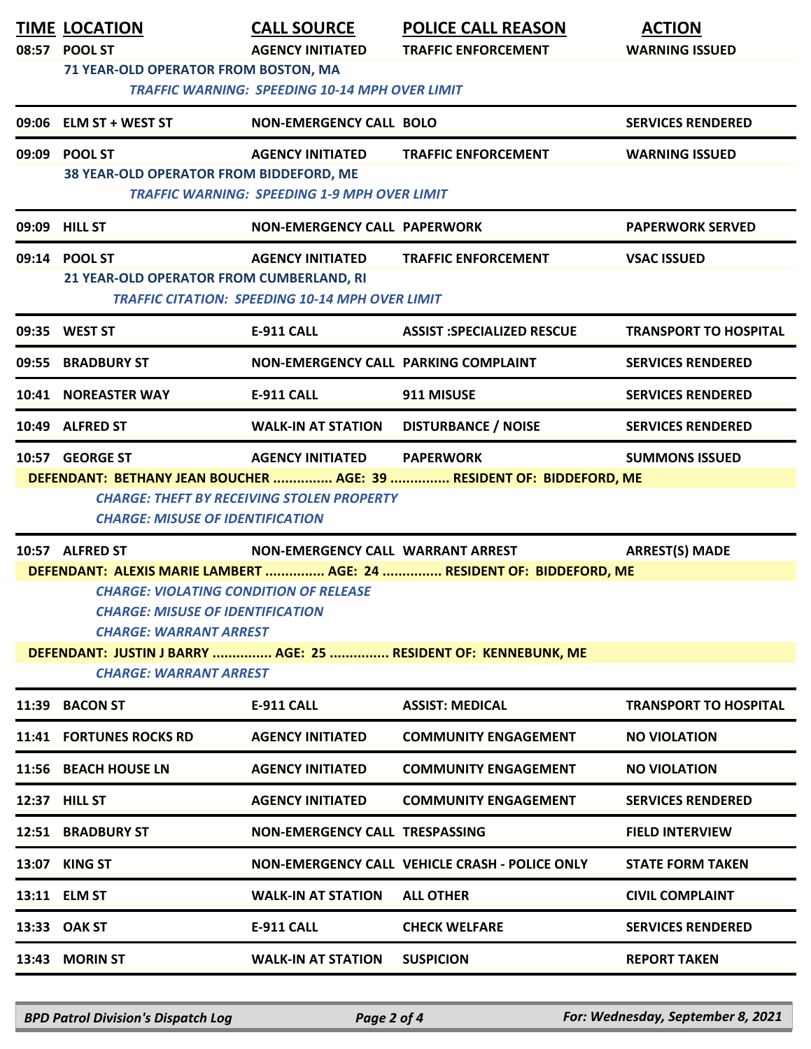|                | <b>TIME LOCATION</b><br>08:57 POOL ST<br>71 YEAR-OLD OPERATOR FROM BOSTON, MA                                                                                                                                                                                                                                                                                                                | <b>CALL SOURCE</b><br><b>AGENCY INITIATED</b><br><b>TRAFFIC WARNING: SPEEDING 10-14 MPH OVER LIMIT</b> | <b>POLICE CALL REASON</b><br><b>TRAFFIC ENFORCEMENT</b>                                  | <b>ACTION</b><br><b>WARNING ISSUED</b> |  |
|----------------|----------------------------------------------------------------------------------------------------------------------------------------------------------------------------------------------------------------------------------------------------------------------------------------------------------------------------------------------------------------------------------------------|--------------------------------------------------------------------------------------------------------|------------------------------------------------------------------------------------------|----------------------------------------|--|
|                | 09:06 ELM ST + WEST ST                                                                                                                                                                                                                                                                                                                                                                       | <b>NON-EMERGENCY CALL BOLO</b>                                                                         |                                                                                          | <b>SERVICES RENDERED</b>               |  |
| 09:09          | <b>POOL ST</b><br>38 YEAR-OLD OPERATOR FROM BIDDEFORD, ME                                                                                                                                                                                                                                                                                                                                    | <b>AGENCY INITIATED</b><br><b>TRAFFIC WARNING: SPEEDING 1-9 MPH OVER LIMIT</b>                         | <b>TRAFFIC ENFORCEMENT</b>                                                               | <b>WARNING ISSUED</b>                  |  |
|                | 09:09 HILL ST                                                                                                                                                                                                                                                                                                                                                                                | <b>NON-EMERGENCY CALL PAPERWORK</b>                                                                    |                                                                                          | <b>PAPERWORK SERVED</b>                |  |
|                | 09:14 POOL ST<br>21 YEAR-OLD OPERATOR FROM CUMBERLAND, RI                                                                                                                                                                                                                                                                                                                                    | <b>AGENCY INITIATED</b><br><b>TRAFFIC CITATION: SPEEDING 10-14 MPH OVER LIMIT</b>                      | <b>TRAFFIC ENFORCEMENT</b>                                                               | <b>VSAC ISSUED</b>                     |  |
|                | 09:35 WEST ST                                                                                                                                                                                                                                                                                                                                                                                | <b>E-911 CALL</b>                                                                                      | <b>ASSIST :SPECIALIZED RESCUE</b>                                                        | <b>TRANSPORT TO HOSPITAL</b>           |  |
| 09:55          | <b>BRADBURY ST</b>                                                                                                                                                                                                                                                                                                                                                                           | NON-EMERGENCY CALL PARKING COMPLAINT                                                                   |                                                                                          | <b>SERVICES RENDERED</b>               |  |
| 10:41          | <b>NOREASTER WAY</b>                                                                                                                                                                                                                                                                                                                                                                         | <b>E-911 CALL</b>                                                                                      | 911 MISUSE                                                                               | <b>SERVICES RENDERED</b>               |  |
|                | 10:49 ALFRED ST                                                                                                                                                                                                                                                                                                                                                                              | <b>WALK-IN AT STATION</b>                                                                              | <b>DISTURBANCE / NOISE</b>                                                               | <b>SERVICES RENDERED</b>               |  |
|                | 10:57 GEORGE ST<br><b>CHARGE: MISUSE OF IDENTIFICATION</b>                                                                                                                                                                                                                                                                                                                                   | <b>AGENCY INITIATED</b><br><b>CHARGE: THEFT BY RECEIVING STOLEN PROPERTY</b>                           | <b>PAPERWORK</b><br>DEFENDANT: BETHANY JEAN BOUCHER  AGE: 39  RESIDENT OF: BIDDEFORD, ME | <b>SUMMONS ISSUED</b>                  |  |
|                | 10:57 ALFRED ST<br><b>NON-EMERGENCY CALL WARRANT ARREST</b><br><b>ARREST(S) MADE</b><br>DEFENDANT: ALEXIS MARIE LAMBERT  AGE: 24  RESIDENT OF: BIDDEFORD, ME<br><b>CHARGE: VIOLATING CONDITION OF RELEASE</b><br><b>CHARGE: MISUSE OF IDENTIFICATION</b><br><b>CHARGE: WARRANT ARREST</b><br>DEFENDANT: JUSTIN J BARRY  AGE: 25  RESIDENT OF: KENNEBUNK, ME<br><b>CHARGE: WARRANT ARREST</b> |                                                                                                        |                                                                                          |                                        |  |
|                | 11:39 BACON ST                                                                                                                                                                                                                                                                                                                                                                               | <b>E-911 CALL</b>                                                                                      | <b>ASSIST: MEDICAL</b>                                                                   | <b>TRANSPORT TO HOSPITAL</b>           |  |
|                | 11:41 FORTUNES ROCKS RD                                                                                                                                                                                                                                                                                                                                                                      | <b>AGENCY INITIATED</b>                                                                                | <b>COMMUNITY ENGAGEMENT</b>                                                              | <b>NO VIOLATION</b>                    |  |
|                | 11:56 BEACH HOUSE LN                                                                                                                                                                                                                                                                                                                                                                         | <b>AGENCY INITIATED</b>                                                                                | <b>COMMUNITY ENGAGEMENT</b>                                                              | <b>NO VIOLATION</b>                    |  |
|                | 12:37 HILL ST                                                                                                                                                                                                                                                                                                                                                                                | <b>AGENCY INITIATED</b>                                                                                | <b>COMMUNITY ENGAGEMENT</b>                                                              | <b>SERVICES RENDERED</b>               |  |
|                | 12:51 BRADBURY ST                                                                                                                                                                                                                                                                                                                                                                            | <b>NON-EMERGENCY CALL TRESPASSING</b>                                                                  |                                                                                          | <b>FIELD INTERVIEW</b>                 |  |
|                | 13:07 KING ST                                                                                                                                                                                                                                                                                                                                                                                |                                                                                                        | NON-EMERGENCY CALL VEHICLE CRASH - POLICE ONLY                                           | <b>STATE FORM TAKEN</b>                |  |
|                | 13:11 ELM ST                                                                                                                                                                                                                                                                                                                                                                                 | <b>WALK-IN AT STATION</b>                                                                              | <b>ALL OTHER</b>                                                                         | <b>CIVIL COMPLAINT</b>                 |  |
|                | 13:33 OAK ST                                                                                                                                                                                                                                                                                                                                                                                 | <b>E-911 CALL</b>                                                                                      | <b>CHECK WELFARE</b>                                                                     | <b>SERVICES RENDERED</b>               |  |
| 13:43 MORIN ST |                                                                                                                                                                                                                                                                                                                                                                                              | <b>WALK-IN AT STATION</b>                                                                              | <b>SUSPICION</b>                                                                         | <b>REPORT TAKEN</b>                    |  |

*BPD Patrol Division's Dispatch Log Page 2 of 4 For: Wednesday, September 8, 2021*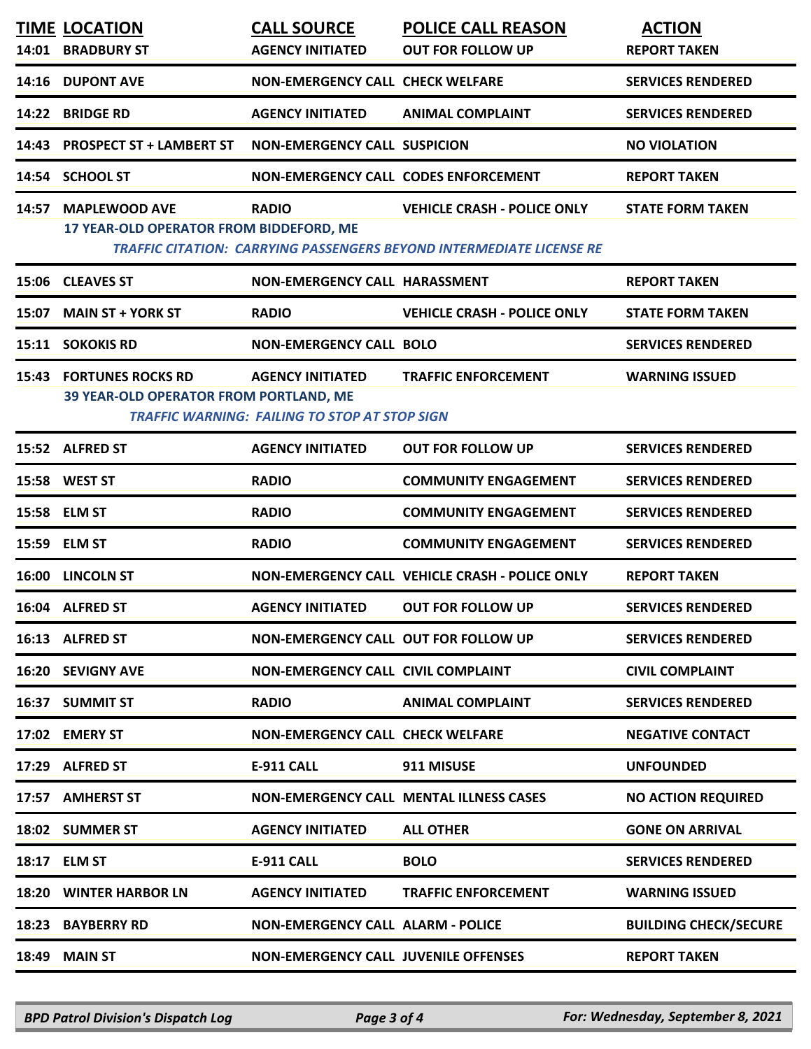|       | <b>TIME LOCATION</b><br>14:01 BRADBURY ST                                       | <b>CALL SOURCE</b><br><b>AGENCY INITIATED</b>                                   | <b>POLICE CALL REASON</b><br><b>OUT FOR FOLLOW UP</b>                                                             | <b>ACTION</b><br><b>REPORT TAKEN</b> |
|-------|---------------------------------------------------------------------------------|---------------------------------------------------------------------------------|-------------------------------------------------------------------------------------------------------------------|--------------------------------------|
|       | 14:16 DUPONT AVE                                                                | <b>NON-EMERGENCY CALL CHECK WELFARE</b>                                         |                                                                                                                   | <b>SERVICES RENDERED</b>             |
| 14:22 | <b>BRIDGE RD</b>                                                                | <b>AGENCY INITIATED</b>                                                         | <b>ANIMAL COMPLAINT</b>                                                                                           | <b>SERVICES RENDERED</b>             |
| 14:43 | <b>PROSPECT ST + LAMBERT ST</b>                                                 | <b>NON-EMERGENCY CALL SUSPICION</b>                                             |                                                                                                                   | <b>NO VIOLATION</b>                  |
|       | 14:54 SCHOOL ST                                                                 | <b>NON-EMERGENCY CALL CODES ENFORCEMENT</b>                                     |                                                                                                                   | <b>REPORT TAKEN</b>                  |
| 14:57 | <b>MAPLEWOOD AVE</b><br>17 YEAR-OLD OPERATOR FROM BIDDEFORD, ME                 | <b>RADIO</b>                                                                    | <b>VEHICLE CRASH - POLICE ONLY</b><br><b>TRAFFIC CITATION: CARRYING PASSENGERS BEYOND INTERMEDIATE LICENSE RE</b> | <b>STATE FORM TAKEN</b>              |
|       | 15:06 CLEAVES ST                                                                | <b>NON-EMERGENCY CALL HARASSMENT</b>                                            |                                                                                                                   | <b>REPORT TAKEN</b>                  |
| 15:07 | <b>MAIN ST + YORK ST</b>                                                        | <b>RADIO</b>                                                                    | <b>VEHICLE CRASH - POLICE ONLY</b>                                                                                | <b>STATE FORM TAKEN</b>              |
|       | 15:11 SOKOKIS RD                                                                | <b>NON-EMERGENCY CALL BOLO</b>                                                  |                                                                                                                   | <b>SERVICES RENDERED</b>             |
|       | <b>15:43 FORTUNES ROCKS RD</b><br><b>39 YEAR-OLD OPERATOR FROM PORTLAND, ME</b> | <b>AGENCY INITIATED</b><br><b>TRAFFIC WARNING: FAILING TO STOP AT STOP SIGN</b> | <b>TRAFFIC ENFORCEMENT</b>                                                                                        | <b>WARNING ISSUED</b>                |
|       | 15:52 ALFRED ST                                                                 | <b>AGENCY INITIATED</b>                                                         | <b>OUT FOR FOLLOW UP</b>                                                                                          | <b>SERVICES RENDERED</b>             |
|       | 15:58 WEST ST                                                                   | <b>RADIO</b>                                                                    | <b>COMMUNITY ENGAGEMENT</b>                                                                                       | <b>SERVICES RENDERED</b>             |
|       | 15:58 ELM ST                                                                    | <b>RADIO</b>                                                                    | <b>COMMUNITY ENGAGEMENT</b>                                                                                       | <b>SERVICES RENDERED</b>             |
|       | 15:59 ELM ST                                                                    | <b>RADIO</b>                                                                    | <b>COMMUNITY ENGAGEMENT</b>                                                                                       | <b>SERVICES RENDERED</b>             |
|       | 16:00 LINCOLN ST                                                                |                                                                                 | NON-EMERGENCY CALL VEHICLE CRASH - POLICE ONLY                                                                    | <b>REPORT TAKEN</b>                  |
|       | 16:04 ALFRED ST                                                                 | <b>AGENCY INITIATED</b>                                                         | <b>OUT FOR FOLLOW UP</b>                                                                                          | <b>SERVICES RENDERED</b>             |
|       | 16:13 ALFRED ST                                                                 | NON-EMERGENCY CALL OUT FOR FOLLOW UP                                            |                                                                                                                   | <b>SERVICES RENDERED</b>             |
|       | 16:20 SEVIGNY AVE                                                               | NON-EMERGENCY CALL CIVIL COMPLAINT                                              |                                                                                                                   | <b>CIVIL COMPLAINT</b>               |
|       | 16:37 SUMMIT ST                                                                 | <b>RADIO</b>                                                                    | <b>ANIMAL COMPLAINT</b>                                                                                           | <b>SERVICES RENDERED</b>             |
|       | 17:02 EMERY ST                                                                  | <b>NON-EMERGENCY CALL CHECK WELFARE</b>                                         |                                                                                                                   | <b>NEGATIVE CONTACT</b>              |
|       | 17:29 ALFRED ST                                                                 | <b>E-911 CALL</b>                                                               | 911 MISUSE                                                                                                        | <b>UNFOUNDED</b>                     |
|       | 17:57 AMHERST ST                                                                |                                                                                 | <b>NON-EMERGENCY CALL MENTAL ILLNESS CASES</b>                                                                    | <b>NO ACTION REQUIRED</b>            |
|       | 18:02 SUMMER ST                                                                 | <b>AGENCY INITIATED</b>                                                         | <b>ALL OTHER</b>                                                                                                  | <b>GONE ON ARRIVAL</b>               |
|       | 18:17 ELM ST                                                                    | <b>E-911 CALL</b>                                                               | <b>BOLO</b>                                                                                                       | <b>SERVICES RENDERED</b>             |
|       | 18:20 WINTER HARBOR LN                                                          | <b>AGENCY INITIATED</b>                                                         | <b>TRAFFIC ENFORCEMENT</b>                                                                                        | <b>WARNING ISSUED</b>                |
|       | 18:23 BAYBERRY RD                                                               | NON-EMERGENCY CALL ALARM - POLICE                                               |                                                                                                                   | <b>BUILDING CHECK/SECURE</b>         |
|       | 18:49 MAIN ST                                                                   | <b>NON-EMERGENCY CALL JUVENILE OFFENSES</b>                                     |                                                                                                                   | <b>REPORT TAKEN</b>                  |